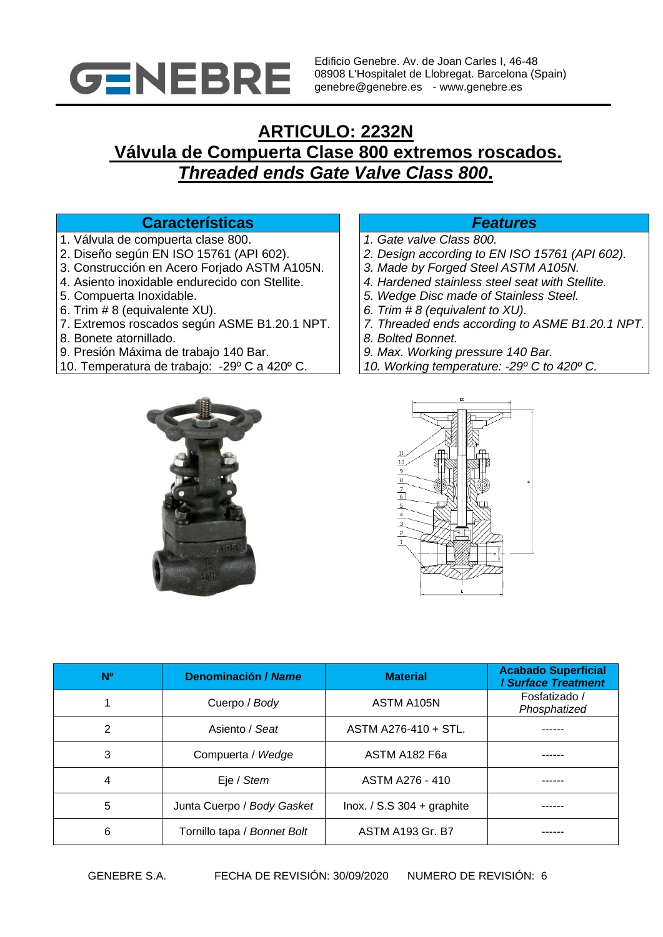

Edificio Genebre. Av. de Joan Carles I, 46-48 08908 L'Hospitalet de Llobregat. Barcelona (Spain) genebre@genebre.es - www.genebre.es

# **ARTICULO: 2232N Válvula de Compuerta Clase 800 extremos roscados.**  *Threaded ends Gate Valve Class 800***.**

## **Características** *Features*

- 1. Válvula de compuerta clase 800.
- 2. Diseño según EN ISO 15761 (API 602).
- 3. Construcción en Acero Forjado ASTM A105N.
- 4. Asiento inoxidable endurecido con Stellite.
- 5. Compuerta Inoxidable.
- 6. Trim # 8 (equivalente XU).
- 7. Extremos roscados según ASME B1.20.1 NPT.
- 8. Bonete atornillado.
- 9. Presión Máxima de trabajo 140 Bar.
- 10. Temperatura de trabajo: -29º C a 420º C.

- *1. Gate valve Class 800.*
- *2. Design according to EN ISO 15761 (API 602).*
- *3. Made by Forged Steel ASTM A105N.*
- *4. Hardened stainless steel seat with Stellite.*
- *5. Wedge Disc made of Stainless Steel.*
- *6. Trim # 8 (equivalent to XU).*
- *7. Threaded ends according to ASME B1.20.1 NPT.*
- *8. Bolted Bonnet.*
- *9. Max. Working pressure 140 Bar.*
- *10. Working temperature: -29º C to 420º C.*





| <b>N°</b> | <b>Denominación / Name</b>  | <b>Material</b>                | <b>Acabado Superficial</b><br>Surface Treatment |  |
|-----------|-----------------------------|--------------------------------|-------------------------------------------------|--|
|           | Cuerpo / Body               | ASTM A105N                     | Fosfatizado /<br>Phosphatized                   |  |
| 2         | Asiento / Seat              | ASTM A276-410 + STL.           |                                                 |  |
| 3         | Compuerta / Wedge           | ASTM A182 F6a                  |                                                 |  |
|           | Eje / Stem                  | ASTM A276 - 410                |                                                 |  |
| 5         | Junta Cuerpo / Body Gasket  | $ln 0x$ . / S.S 304 + graphite |                                                 |  |
| 6         | Tornillo tapa / Bonnet Bolt | <b>ASTM A193 Gr. B7</b>        |                                                 |  |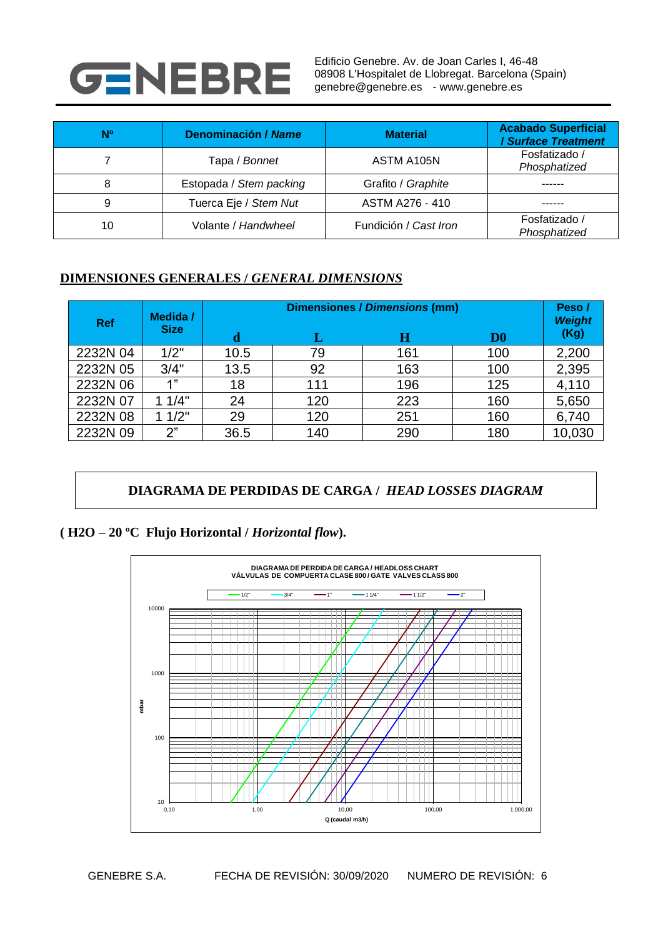

Edificio Genebre. Av. de Joan Carles I, 46-48 08908 L'Hospitalet de Llobregat. Barcelona (Spain) genebre@genebre.es - www.genebre.es

| <b>N°</b> | <b>Denominación / Name</b> | <b>Material</b>       | <b>Acabado Superficial</b><br><b>Surface Treatment</b> |
|-----------|----------------------------|-----------------------|--------------------------------------------------------|
|           | Tapa / Bonnet              | ASTM A105N            | Fosfatizado /<br>Phosphatized                          |
| 8         | Estopada / Stem packing    | Grafito / Graphite    |                                                        |
| 9         | Tuerca Eje / Stem Nut      | ASTM A276 - 410       |                                                        |
| 10        | Volante / Handwheel        | Fundición / Cast Iron | Fosfatizado /<br>Phosphatized                          |

#### **DIMENSIONES GENERALES /** *GENERAL DIMENSIONS*

| <b>Ref</b> | Medida /    | <b>Dimensiones / Dimensions (mm)</b> |     |     |               | Peso/<br><b>Weight</b> |
|------------|-------------|--------------------------------------|-----|-----|---------------|------------------------|
|            | <b>Size</b> | d                                    |     | н   | $\mathbf{D0}$ | (Kg)                   |
| 2232N 04   | 1/2"        | 10.5                                 | 79  | 161 | 100           | 2,200                  |
| 2232N 05   | 3/4"        | 13.5                                 | 92  | 163 | 100           | 2,395                  |
| 2232N 06   | 4"          | 18                                   | 111 | 196 | 125           | 4,110                  |
| 2232N 07   | 11/4"       | 24                                   | 120 | 223 | 160           | 5,650                  |
| 2232N 08   | 11/2"       | 29                                   | 120 | 251 | 160           | 6,740                  |
| 2232N 09   | 2"          | 36.5                                 | 140 | 290 | 180           | 10,030                 |

# **DIAGRAMA DE PERDIDAS DE CARGA /** *HEAD LOSSES DIAGRAM*

## **( H2O – 20 ºC Flujo Horizontal /** *Horizontal flow***).**